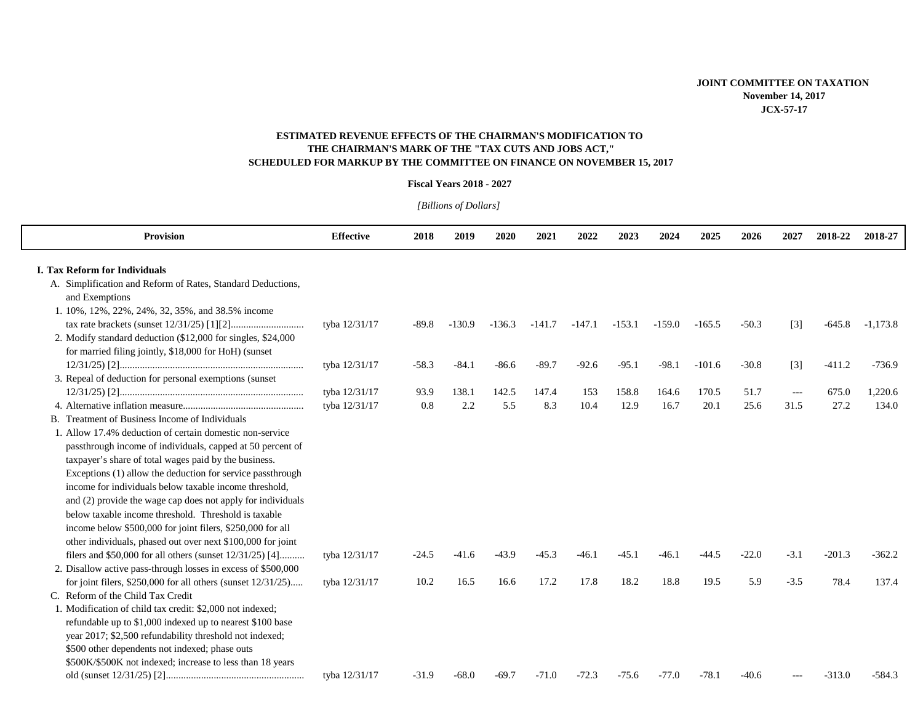## **SCHEDULED FOR MARKUP BY THE COMMITTEE ON FINANCE ON NOVEMBER 15, 2017 ESTIMATED REVENUE EFFECTS OF THE CHAIRMAN'S MODIFICATION TO THE CHAIRMAN'S MARK OF THE "TAX CUTS AND JOBS ACT,"**

## **Fiscal Years 2018 - 2027**

*[Billions of Dollars]* 

| <b>Provision</b>                                                 | <b>Effective</b> | 2018    | 2019     | 2020     | 2021     | 2022     | 2023     | 2024     | 2025     | 2026    | 2027                | 2018-22  | 2018-27    |
|------------------------------------------------------------------|------------------|---------|----------|----------|----------|----------|----------|----------|----------|---------|---------------------|----------|------------|
|                                                                  |                  |         |          |          |          |          |          |          |          |         |                     |          |            |
| <b>I. Tax Reform for Individuals</b>                             |                  |         |          |          |          |          |          |          |          |         |                     |          |            |
| A. Simplification and Reform of Rates, Standard Deductions,      |                  |         |          |          |          |          |          |          |          |         |                     |          |            |
| and Exemptions                                                   |                  |         |          |          |          |          |          |          |          |         |                     |          |            |
| 1. 10%, 12%, 22%, 24%, 32, 35%, and 38.5% income                 |                  |         |          |          |          |          |          |          |          |         |                     |          |            |
|                                                                  | tyba 12/31/17    | $-89.8$ | $-130.9$ | $-136.3$ | $-141.7$ | $-147.1$ | $-153.1$ | $-159.0$ | $-165.5$ | $-50.3$ | $[3]$               | $-645.8$ | $-1,173.8$ |
| 2. Modify standard deduction (\$12,000 for singles, \$24,000     |                  |         |          |          |          |          |          |          |          |         |                     |          |            |
| for married filing jointly, \$18,000 for HoH) (sunset            |                  |         |          |          |          |          |          |          |          |         |                     |          |            |
|                                                                  | tyba 12/31/17    | $-58.3$ | $-84.1$  | $-86.6$  | $-89.7$  | $-92.6$  | $-95.1$  | $-98.1$  | $-101.6$ | $-30.8$ | $[3]$               | $-411.2$ | $-736.9$   |
| 3. Repeal of deduction for personal exemptions (sunset           |                  |         |          |          |          |          |          |          |          |         |                     |          |            |
|                                                                  | tyba 12/31/17    | 93.9    | 138.1    | 142.5    | 147.4    | 153      | 158.8    | 164.6    | 170.5    | 51.7    | $\qquad \qquad - -$ | 675.0    | 1,220.6    |
|                                                                  | tyba 12/31/17    | 0.8     | 2.2      | 5.5      | 8.3      | 10.4     | 12.9     | 16.7     | 20.1     | 25.6    | 31.5                | 27.2     | 134.0      |
| B. Treatment of Business Income of Individuals                   |                  |         |          |          |          |          |          |          |          |         |                     |          |            |
| 1. Allow 17.4% deduction of certain domestic non-service         |                  |         |          |          |          |          |          |          |          |         |                     |          |            |
| passthrough income of individuals, capped at 50 percent of       |                  |         |          |          |          |          |          |          |          |         |                     |          |            |
| taxpayer's share of total wages paid by the business.            |                  |         |          |          |          |          |          |          |          |         |                     |          |            |
| Exceptions (1) allow the deduction for service passthrough       |                  |         |          |          |          |          |          |          |          |         |                     |          |            |
| income for individuals below taxable income threshold,           |                  |         |          |          |          |          |          |          |          |         |                     |          |            |
| and (2) provide the wage cap does not apply for individuals      |                  |         |          |          |          |          |          |          |          |         |                     |          |            |
| below taxable income threshold. Threshold is taxable             |                  |         |          |          |          |          |          |          |          |         |                     |          |            |
| income below \$500,000 for joint filers, \$250,000 for all       |                  |         |          |          |          |          |          |          |          |         |                     |          |            |
| other individuals, phased out over next \$100,000 for joint      |                  |         |          |          |          |          |          |          |          |         |                     |          |            |
| filers and \$50,000 for all others (sunset 12/31/25) [4]         | tyba 12/31/17    | $-24.5$ | $-41.6$  | $-43.9$  | $-45.3$  | $-46.1$  | $-45.1$  | $-46.1$  | $-44.5$  | $-22.0$ | $-3.1$              | $-201.3$ | $-362.2$   |
| 2. Disallow active pass-through losses in excess of \$500,000    |                  |         |          |          |          |          |          |          |          |         |                     |          |            |
| for joint filers, $$250,000$ for all others (sunset $12/31/25$ ) | tyba 12/31/17    | 10.2    | 16.5     | 16.6     | 17.2     | 17.8     | 18.2     | 18.8     | 19.5     | 5.9     | $-3.5$              | 78.4     | 137.4      |
| C. Reform of the Child Tax Credit                                |                  |         |          |          |          |          |          |          |          |         |                     |          |            |
| 1. Modification of child tax credit: \$2,000 not indexed;        |                  |         |          |          |          |          |          |          |          |         |                     |          |            |
| refundable up to \$1,000 indexed up to nearest \$100 base        |                  |         |          |          |          |          |          |          |          |         |                     |          |            |
| year 2017; \$2,500 refundability threshold not indexed;          |                  |         |          |          |          |          |          |          |          |         |                     |          |            |
| \$500 other dependents not indexed; phase outs                   |                  |         |          |          |          |          |          |          |          |         |                     |          |            |
| \$500K/\$500K not indexed; increase to less than 18 years        |                  |         |          |          |          |          |          |          |          |         |                     |          |            |
|                                                                  | tyba 12/31/17    | $-31.9$ | $-68.0$  | $-69.7$  | $-71.0$  | $-72.3$  | $-75.6$  | $-77.0$  | $-78.1$  | $-40.6$ |                     | $-313.0$ | $-584.3$   |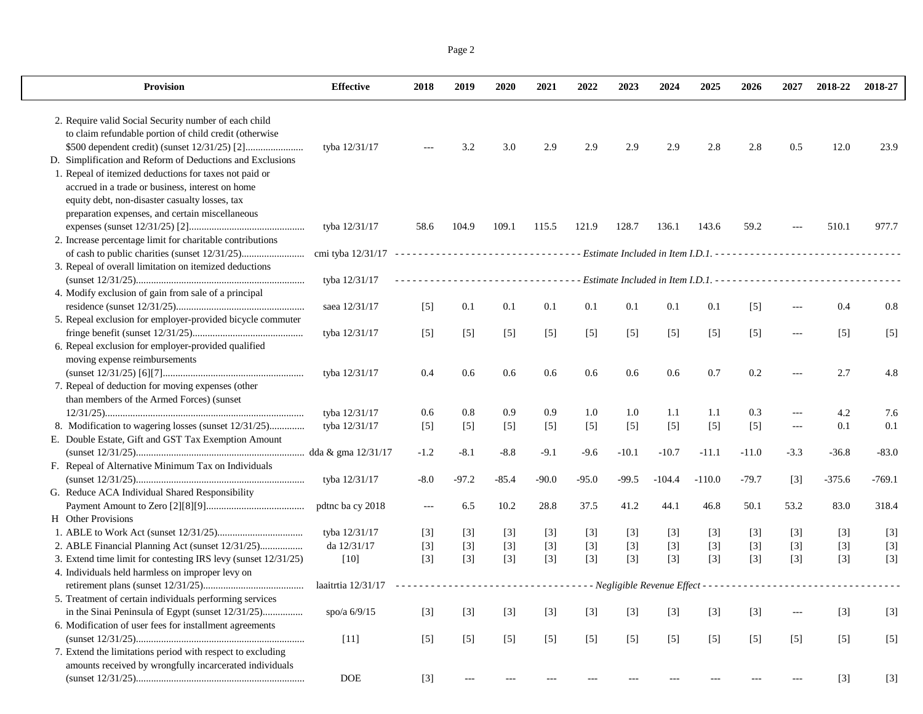Page 2

| Provision                                                      | <b>Effective</b>                                       | 2018   | 2019    | 2020    | 2021    | 2022    | 2023    | 2024     | 2025                                                                      | 2026    | 2027                 | 2018-22  | 2018-27  |
|----------------------------------------------------------------|--------------------------------------------------------|--------|---------|---------|---------|---------|---------|----------|---------------------------------------------------------------------------|---------|----------------------|----------|----------|
| 2. Require valid Social Security number of each child          |                                                        |        |         |         |         |         |         |          |                                                                           |         |                      |          |          |
| to claim refundable portion of child credit (otherwise         |                                                        |        |         |         |         |         |         |          |                                                                           |         |                      |          |          |
|                                                                | tyba 12/31/17                                          |        | 3.2     | 3.0     | 2.9     | 2.9     | 2.9     | 2.9      | 2.8                                                                       | 2.8     | 0.5                  | 12.0     | 23.9     |
| D. Simplification and Reform of Deductions and Exclusions      |                                                        |        |         |         |         |         |         |          |                                                                           |         |                      |          |          |
| 1. Repeal of itemized deductions for taxes not paid or         |                                                        |        |         |         |         |         |         |          |                                                                           |         |                      |          |          |
| accrued in a trade or business, interest on home               |                                                        |        |         |         |         |         |         |          |                                                                           |         |                      |          |          |
| equity debt, non-disaster casualty losses, tax                 |                                                        |        |         |         |         |         |         |          |                                                                           |         |                      |          |          |
| preparation expenses, and certain miscellaneous                |                                                        |        |         |         |         |         |         |          |                                                                           |         |                      |          |          |
|                                                                | tyba 12/31/17                                          | 58.6   | 104.9   | 109.1   | 115.5   | 121.9   | 128.7   | 136.1    | 143.6                                                                     | 59.2    |                      | 510.1    | 977.7    |
| 2. Increase percentage limit for charitable contributions      |                                                        |        |         |         |         |         |         |          |                                                                           |         |                      |          |          |
|                                                                | cmi tyba $12/31/17$ ---------------------------------- |        |         |         |         |         |         |          |                                                                           |         |                      |          |          |
| 3. Repeal of overall limitation on itemized deductions         |                                                        |        |         |         |         |         |         |          |                                                                           |         |                      |          |          |
|                                                                | tyba 12/31/17                                          |        |         |         |         |         |         |          | ------------------- Estimate Included in Item I.D.1. -------------------- |         |                      |          |          |
| 4. Modify exclusion of gain from sale of a principal           |                                                        |        |         |         |         |         |         |          |                                                                           |         |                      |          |          |
|                                                                | saea 12/31/17                                          | $[5]$  | 0.1     | 0.1     | 0.1     | 0.1     | 0.1     | 0.1      | 0.1                                                                       | $[5]$   |                      | 0.4      | 0.8      |
| 5. Repeal exclusion for employer-provided bicycle commuter     |                                                        |        |         |         |         |         |         |          |                                                                           |         |                      |          |          |
|                                                                | tyba 12/31/17                                          | $[5]$  | $[5]$   | $[5]$   | $[5]$   | $[5]$   | $[5]$   | $[5]$    | $[5]$                                                                     | $[5]$   | $\cdots$             | $[5]$    | $[5]$    |
| 6. Repeal exclusion for employer-provided qualified            |                                                        |        |         |         |         |         |         |          |                                                                           |         |                      |          |          |
| moving expense reimbursements                                  |                                                        |        |         |         |         |         |         |          |                                                                           |         |                      |          |          |
|                                                                | tyba 12/31/17                                          | 0.4    | 0.6     | 0.6     | 0.6     | 0.6     | 0.6     | 0.6      | 0.7                                                                       | 0.2     | $---$                | 2.7      | 4.8      |
| 7. Repeal of deduction for moving expenses (other              |                                                        |        |         |         |         |         |         |          |                                                                           |         |                      |          |          |
| than members of the Armed Forces) (sunset                      |                                                        |        |         |         |         |         |         |          |                                                                           |         |                      |          |          |
|                                                                | tyba 12/31/17                                          | 0.6    | 0.8     | 0.9     | 0.9     | 1.0     | 1.0     | 1.1      | 1.1                                                                       | 0.3     | $\sim$ $\sim$ $\sim$ | $4.2\,$  | 7.6      |
| 8. Modification to wagering losses (sunset 12/31/25)           | tyba 12/31/17                                          | $[5]$  | $[5]$   | $[5]$   | $[5]$   | $[5]$   | $[5]$   | $[5]$    | $[5]$                                                                     | $[5]$   | $--$                 | 0.1      | 0.1      |
| E. Double Estate, Gift and GST Tax Exemption Amount            |                                                        |        |         |         |         |         |         |          |                                                                           |         |                      |          |          |
|                                                                |                                                        | $-1.2$ | $-8.1$  | $-8.8$  | $-9.1$  | $-9.6$  | $-10.1$ | $-10.7$  | $-11.1$                                                                   | $-11.0$ | $-3.3$               | $-36.8$  | $-83.0$  |
| F. Repeal of Alternative Minimum Tax on Individuals            |                                                        |        |         |         |         |         |         |          |                                                                           |         |                      |          |          |
|                                                                | tyba 12/31/17                                          | $-8.0$ | $-97.2$ | $-85.4$ | $-90.0$ | $-95.0$ | $-99.5$ | $-104.4$ | $-110.0$                                                                  | $-79.7$ | $[3]$                | $-375.6$ | $-769.1$ |
| G. Reduce ACA Individual Shared Responsibility                 |                                                        |        |         |         |         |         |         |          |                                                                           |         |                      |          |          |
|                                                                | pdtnc ba cy 2018                                       | $---$  | 6.5     | 10.2    | 28.8    | 37.5    | 41.2    | 44.1     | 46.8                                                                      | 50.1    | 53.2                 | 83.0     | 318.4    |
| H Other Provisions                                             |                                                        |        |         |         |         |         |         |          |                                                                           |         |                      |          |          |
|                                                                | tyba 12/31/17                                          | $[3]$  | $[3]$   | $[3]$   | $[3]$   | $[3]$   | $[3]$   | $[3]$    | $[3]$                                                                     | $[3]$   | $[3]$                | $[3]$    | $[3]$    |
| 2. ABLE Financial Planning Act (sunset 12/31/25)               | da 12/31/17                                            | $[3]$  | $[3]$   | $[3]$   | $[3]$   | $[3]$   | $[3]$   | $[3]$    | $[3]$                                                                     | $[3]$   | $[3]$                | $[3]$    | $[3]$    |
| 3. Extend time limit for contesting IRS levy (sunset 12/31/25) | $[10]$                                                 | $[3]$  | $[3]$   | $[3]$   | $[3]$   | $[3]$   | $[3]$   | $[3]$    | $[3]$                                                                     | $[3]$   | $[3]$                | $[3]$    | $[3]$    |
| 4. Individuals held harmless on improper levy on               |                                                        |        |         |         |         |         |         |          |                                                                           |         |                      |          |          |
|                                                                | laaitrtia 12/31/17                                     |        |         |         |         |         |         |          |                                                                           |         |                      |          |          |
| 5. Treatment of certain individuals performing services        |                                                        |        |         |         |         |         |         |          |                                                                           |         |                      |          |          |
| in the Sinai Peninsula of Egypt (sunset 12/31/25)              | spo/a 6/9/15                                           | $[3]$  | $[3]$   | $[3]$   | $[3]$   | $[3]$   | $[3]$   | $[3]$    | $[3]$                                                                     | $[3]$   | $---$                | $[3]$    | $[3]$    |
| 6. Modification of user fees for installment agreements        |                                                        |        |         |         |         |         |         |          |                                                                           |         |                      |          |          |
| 7. Extend the limitations period with respect to excluding     | $[11]$                                                 | $[5]$  | $[5]$   | $[5]$   | $[5]$   | $[5]$   | $[5]$   | $[5]$    | $[5]$                                                                     | $[5]$   | $[5]$                | $[5]$    | $[5]$    |
| amounts received by wrongfully incarcerated individuals        |                                                        |        |         |         |         |         |         |          |                                                                           |         |                      |          |          |
|                                                                | DOE                                                    |        | $---$   |         |         |         |         |          |                                                                           |         | $---$                |          |          |
|                                                                |                                                        | $[3]$  |         |         |         |         |         |          |                                                                           |         |                      | $[3]$    | $[3]$    |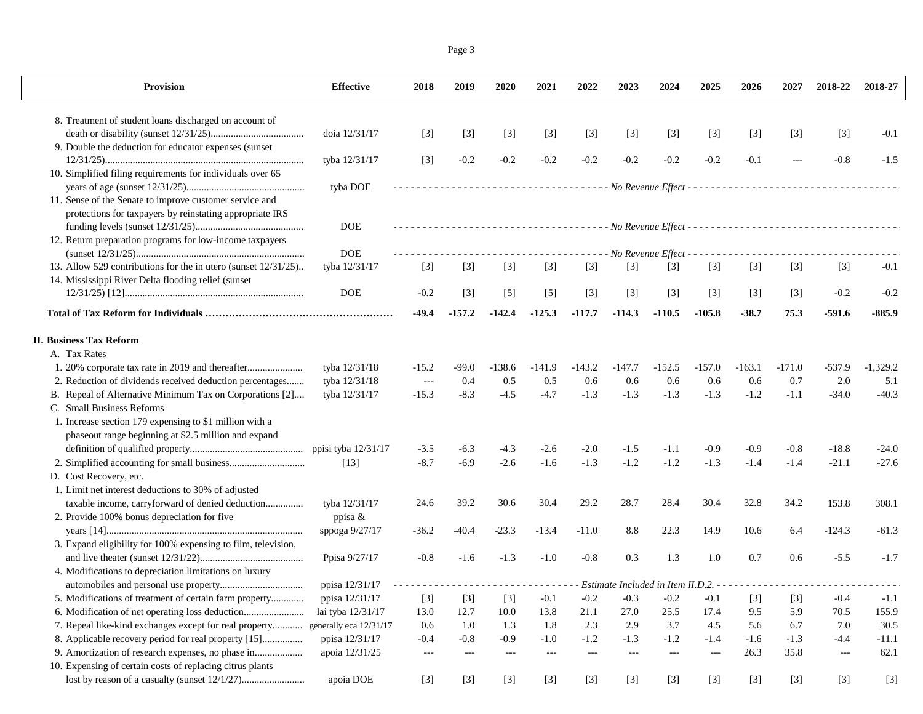Page 3

| <b>Provision</b>                                               | <b>Effective</b>       | 2018                     | 2019                | 2020     | 2021                 | 2022                     | 2023                  | 2024                  | 2025                  | 2026       | 2027                 | 2018-22  | 2018-27    |
|----------------------------------------------------------------|------------------------|--------------------------|---------------------|----------|----------------------|--------------------------|-----------------------|-----------------------|-----------------------|------------|----------------------|----------|------------|
| 8. Treatment of student loans discharged on account of         |                        |                          |                     |          |                      |                          |                       |                       |                       |            |                      |          |            |
|                                                                | doia 12/31/17          | $[3]$                    | $[3]$               | $[3]$    | $[3]$                | $[3]$                    | $[3]$                 | $[3]$                 | $[3]$                 | $[3]$      | $[3]$                | $[3]$    | $-0.1$     |
| 9. Double the deduction for educator expenses (sunset          |                        |                          |                     |          |                      |                          |                       |                       |                       |            |                      |          |            |
|                                                                | tyba 12/31/17          | $[3]$                    | $-0.2$              | $-0.2$   | $-0.2$               | $-0.2$                   | $-0.2$                | $-0.2$                | $-0.2$                | $-0.1$     | $\sim$ $\sim$ $\sim$ | $-0.8$   | $-1.5$     |
| 10. Simplified filing requirements for individuals over 65     |                        |                          |                     |          |                      |                          |                       |                       |                       |            |                      |          |            |
|                                                                | tyba DOE               |                          |                     |          |                      |                          |                       |                       |                       |            |                      |          |            |
| 11. Sense of the Senate to improve customer service and        |                        |                          |                     |          |                      |                          |                       |                       |                       |            |                      |          |            |
| protections for taxpayers by reinstating appropriate IRS       |                        |                          |                     |          |                      |                          |                       |                       |                       |            |                      |          |            |
|                                                                | <b>DOE</b>             |                          |                     |          |                      |                          |                       |                       |                       |            |                      |          |            |
| 12. Return preparation programs for low-income taxpayers       | <b>DOE</b>             |                          |                     |          |                      |                          | - No Revenue Effect - |                       |                       |            |                      |          |            |
| 13. Allow 529 contributions for the in utero (sunset 12/31/25) | tyba 12/31/17          | $[3]$                    | $[3]$               | $[3]$    | $[3]$                | $[3]$                    | $[3]$                 | $[3]$                 | $[3]$                 | $[3]$      | $[3]$                | $[3]$    | $-0.1$     |
| 14. Mississippi River Delta flooding relief (sunset            |                        |                          |                     |          |                      |                          |                       |                       |                       |            |                      |          |            |
|                                                                | <b>DOE</b>             | $-0.2$                   | $[3]$               | $[5]$    | $[5]$                | $[3]$                    | $[3]$                 | $[3]$                 | $[3]$                 | $[3]$      | $[3]$                | $-0.2$   | $-0.2$     |
|                                                                |                        | $-49.4$                  | $-157.2$            | $-142.4$ | $-125.3$             | $-117.7$                 | $-114.3$              | $-110.5$              | $-105.8$              | $-38.7$    | 75.3                 | $-591.6$ | $-885.9$   |
|                                                                |                        |                          |                     |          |                      |                          |                       |                       |                       |            |                      |          |            |
| <b>II. Business Tax Reform</b>                                 |                        |                          |                     |          |                      |                          |                       |                       |                       |            |                      |          |            |
| A. Tax Rates                                                   |                        |                          |                     |          |                      |                          |                       |                       |                       |            |                      |          |            |
|                                                                | tyba 12/31/18          | $-15.2$                  | -99.0               | $-138.6$ | $-141.9$             | $-143.2$                 | $-147.7$              | -152.5                | $-157.0$              | $-163.1$   | $-171.0$             | $-537.9$ | $-1,329.2$ |
| 2. Reduction of dividends received deduction percentages       | tyba 12/31/18          | $\scriptstyle \cdots$    | 0.4                 | 0.5      | 0.5                  | 0.6                      | 0.6                   | 0.6                   | 0.6                   | 0.6        | 0.7                  | 2.0      | 5.1        |
| B. Repeal of Alternative Minimum Tax on Corporations [2]       | tyba 12/31/17          | $-15.3$                  | $-8.3$              | $-4.5$   | $-4.7$               | $-1.3$                   | $-1.3$                | $-1.3$                | $-1.3$                | $-1.2$     | $-1.1$               | $-34.0$  | $-40.3$    |
| C. Small Business Reforms                                      |                        |                          |                     |          |                      |                          |                       |                       |                       |            |                      |          |            |
| 1. Increase section 179 expensing to \$1 million with a        |                        |                          |                     |          |                      |                          |                       |                       |                       |            |                      |          |            |
| phaseout range beginning at \$2.5 million and expand           |                        |                          |                     |          |                      |                          |                       |                       |                       |            |                      |          |            |
|                                                                | ppisi tyba 12/31/17    | $-3.5$                   | $-6.3$              | -4.3     | $-2.6$               | $-2.0$                   | $-1.5$                | $-1.1$                | $-0.9$                | $-0.9$     | -0.8                 | $-18.8$  | $-24.0$    |
|                                                                | $[13]$                 | $-8.7$                   | $-6.9$              | $-2.6$   | $-1.6$               | $-1.3$                   | $-1.2$                | $-1.2$                | $-1.3$                | $-1.4$     | $-1.4$               | $-21.1$  | $-27.6$    |
| D. Cost Recovery, etc.                                         |                        |                          |                     |          |                      |                          |                       |                       |                       |            |                      |          |            |
| 1. Limit net interest deductions to 30% of adjusted            |                        |                          |                     |          |                      |                          |                       |                       |                       |            |                      |          |            |
| taxable income, carryforward of denied deduction               | tyba 12/31/17          | 24.6                     | 39.2                | 30.6     | 30.4                 | 29.2                     | 28.7                  | 28.4                  | 30.4                  | 32.8       | 34.2                 | 153.8    | 308.1      |
| 2. Provide 100% bonus depreciation for five                    | ppisa &                |                          |                     |          |                      |                          |                       |                       |                       |            |                      |          |            |
|                                                                | sppoga 9/27/17         | $-36.2$                  | $-40.4$             | $-23.3$  | $-13.4$              | $-11.0$                  | 8.8                   | 22.3                  | 14.9                  | 10.6       | 6.4                  | $-124.3$ | $-61.3$    |
| 3. Expand eligibility for 100% expensing to film, television,  |                        |                          |                     |          |                      |                          |                       |                       |                       | 0.7        |                      |          |            |
| 4. Modifications to depreciation limitations on luxury         | Ppisa 9/27/17          | $-0.8$                   | $-1.6$              | $-1.3$   | $-1.0$               | $-0.8$                   | 0.3                   | 1.3                   | 1.0                   |            | 0.6                  | $-5.5$   | $-1.7$     |
|                                                                | ppisa 12/31/17         |                          |                     |          |                      |                          |                       |                       |                       |            |                      |          |            |
| 5. Modifications of treatment of certain farm property         | ppisa 12/31/17         | $[3]$                    |                     |          | $[3]$ $[3]$ $-0.1$   | $-0.2$                   | $-0.3$                | $-0.2$                |                       | $-0.1$ [3] | [3]                  | $-0.4$   | $-1.1$     |
| 6. Modification of net operating loss deduction                | lai tyba 12/31/17      | 13.0                     | 12.7                | 10.0     | 13.8                 | 21.1                     | 27.0                  | 25.5                  | 17.4                  | 9.5        | 5.9                  | 70.5     | 155.9      |
| 7. Repeal like-kind exchanges except for real property         | generally eca 12/31/17 | 0.6                      | 1.0                 | 1.3      | 1.8                  | 2.3                      | 2.9                   | 3.7                   | 4.5                   | 5.6        | 6.7                  | 7.0      | 30.5       |
| 8. Applicable recovery period for real property [15]           | ppisa 12/31/17         | $-0.4$                   | $-0.8$              | $-0.9$   | $-1.0$               | $-1.2$                   | $-1.3$                | $-1.2$                | $-1.4$                | $-1.6$     | $-1.3$               | $-4.4$   | $-11.1$    |
| 9. Amortization of research expenses, no phase in              | apoia 12/31/25         | $\hspace{0.05cm} \ldots$ | $\qquad \qquad - -$ | $\cdots$ | $\sim$ $\sim$ $\sim$ | $\hspace{0.05cm} \ldots$ | $\sim$ $\sim$ $\sim$  | $\scriptstyle \cdots$ | $\scriptstyle \cdots$ | 26.3       | 35.8                 | ---      | 62.1       |
| 10. Expensing of certain costs of replacing citrus plants      |                        |                          |                     |          |                      |                          |                       |                       |                       |            |                      |          |            |
|                                                                | apoia DOE              | $[3]$                    | $[3]$               | $[3]$    | $[3]$                | $[3]$                    | $[3]$                 | $[3]$                 | $[3]$                 | $[3]$      | $[3]$                | $[3]$    | $[3]$      |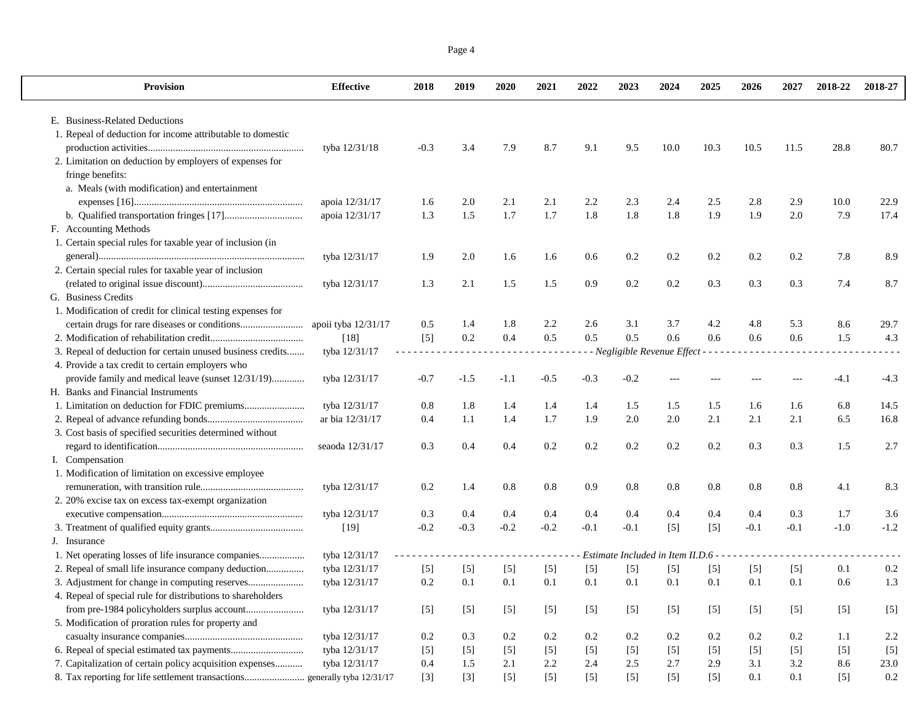|--|--|

| Provision                                                                 | <b>Effective</b>    | 2018   | 2019   | 2020   | 2021   | 2022   | 2023                               | 2024    | 2025  | 2026   | 2027   | 2018-22 | 2018-27 |
|---------------------------------------------------------------------------|---------------------|--------|--------|--------|--------|--------|------------------------------------|---------|-------|--------|--------|---------|---------|
| E. Business-Related Deductions                                            |                     |        |        |        |        |        |                                    |         |       |        |        |         |         |
| 1. Repeal of deduction for income attributable to domestic                |                     |        |        |        |        |        |                                    |         |       |        |        |         |         |
|                                                                           | tyba 12/31/18       | $-0.3$ | 3.4    | 7.9    | 8.7    | 9.1    | 9.5                                | 10.0    | 10.3  | 10.5   | 11.5   | 28.8    | 80.7    |
| 2. Limitation on deduction by employers of expenses for                   |                     |        |        |        |        |        |                                    |         |       |        |        |         |         |
| fringe benefits:                                                          |                     |        |        |        |        |        |                                    |         |       |        |        |         |         |
| a. Meals (with modification) and entertainment                            |                     |        |        |        |        |        |                                    |         |       |        |        |         |         |
|                                                                           | apoia 12/31/17      | 1.6    | 2.0    | 2.1    | 2.1    | 2.2    | 2.3                                | 2.4     | 2.5   | 2.8    | 2.9    | 10.0    | 22.9    |
|                                                                           | apoia 12/31/17      | 1.3    | 1.5    | 1.7    | 1.7    | 1.8    | 1.8                                | 1.8     | 1.9   | 1.9    | 2.0    | 7.9     | 17.4    |
| F. Accounting Methods                                                     |                     |        |        |        |        |        |                                    |         |       |        |        |         |         |
| 1. Certain special rules for taxable year of inclusion (in                |                     |        |        |        |        |        |                                    |         |       |        |        |         |         |
|                                                                           | tyba 12/31/17       | 1.9    | 2.0    | 1.6    | 1.6    | 0.6    | 0.2                                | 0.2     | 0.2   | 0.2    | 0.2    | 7.8     | 8.9     |
|                                                                           |                     |        |        |        |        |        |                                    |         |       |        |        |         |         |
| 2. Certain special rules for taxable year of inclusion                    |                     |        |        |        |        |        |                                    |         |       |        | 0.3    | 7.4     | 8.7     |
|                                                                           | tyba 12/31/17       | 1.3    | 2.1    | 1.5    | 1.5    | 0.9    | 0.2                                | $0.2\,$ | 0.3   | 0.3    |        |         |         |
| G. Business Credits                                                       |                     |        |        |        |        |        |                                    |         |       |        |        |         |         |
| 1. Modification of credit for clinical testing expenses for               |                     |        |        |        |        |        |                                    |         |       |        |        |         |         |
|                                                                           | apoii tyba 12/31/17 | 0.5    | 1.4    | 1.8    | 2.2    | 2.6    | 3.1                                | 3.7     | 4.2   | 4.8    | 5.3    | 8.6     | 29.7    |
|                                                                           | $[18]$              | $[5]$  | 0.2    | 0.4    | 0.5    | 0.5    | 0.5                                | 0.6     | 0.6   | 0.6    | 0.6    | 1.5     | 4.3     |
| 3. Repeal of deduction for certain unused business credits                | tyba 12/31/17       | $  -$  |        |        |        |        | - Negligible Revenue Effect - -    |         |       |        |        |         |         |
| 4. Provide a tax credit to certain employers who                          |                     |        |        |        |        |        |                                    |         |       |        |        |         |         |
| provide family and medical leave (sunset 12/31/19)                        | tyba 12/31/17       | $-0.7$ | $-1.5$ | $-1.1$ | $-0.5$ | $-0.3$ | $-0.2$                             |         |       |        |        | $-4.1$  | $-4.3$  |
| H. Banks and Financial Instruments                                        |                     |        |        |        |        |        |                                    |         |       |        |        |         |         |
|                                                                           | tyba 12/31/17       | 0.8    | 1.8    | 1.4    | 1.4    | 1.4    | 1.5                                | 1.5     | 1.5   | 1.6    | 1.6    | 6.8     | 14.5    |
|                                                                           | ar bia 12/31/17     | 0.4    | 1.1    | 1.4    | 1.7    | 1.9    | 2.0                                | 2.0     | 2.1   | 2.1    | 2.1    | 6.5     | 16.8    |
| 3. Cost basis of specified securities determined without                  |                     |        |        |        |        |        |                                    |         |       |        |        |         |         |
|                                                                           | seaoda 12/31/17     | 0.3    | 0.4    | 0.4    | 0.2    | 0.2    | 0.2                                | $0.2\,$ | 0.2   | 0.3    | 0.3    | 1.5     | 2.7     |
| I. Compensation                                                           |                     |        |        |        |        |        |                                    |         |       |        |        |         |         |
| 1. Modification of limitation on excessive employee                       |                     |        |        |        |        |        |                                    |         |       |        |        |         |         |
|                                                                           | tyba 12/31/17       | 0.2    | 1.4    | 0.8    | 0.8    | 0.9    | 0.8                                | 0.8     | 0.8   | 0.8    | 0.8    | 4.1     | 8.3     |
| 2. 20% excise tax on excess tax-exempt organization                       |                     |        |        |        |        |        |                                    |         |       |        |        |         |         |
|                                                                           | tyba 12/31/17       | 0.3    | 0.4    | 0.4    | 0.4    | 0.4    | 0.4                                | 0.4     | 0.4   | 0.4    | 0.3    | 1.7     | 3.6     |
|                                                                           | [19]                | $-0.2$ | $-0.3$ | $-0.2$ | $-0.2$ | $-0.1$ | $-0.1$                             | $[5]$   | $[5]$ | $-0.1$ | $-0.1$ | $-1.0$  | $-1.2$  |
| J. Insurance                                                              |                     |        |        |        |        |        |                                    |         |       |        |        |         |         |
| 1. Net operating losses of life insurance companies                       | tyba 12/31/17       |        |        |        |        |        | Estimate Included in Item II.D.6 - |         |       |        |        |         |         |
| 2. Repeal of small life insurance company deduction                       | tyba 12/31/17       | $[5]$  | $[5]$  | $[5]$  | $[5]$  | $[5]$  | $[5]$                              | $[5]$   | $[5]$ | $[5]$  | $[5]$  | 0.1     | 0.2     |
|                                                                           | tyba 12/31/17       | 0.2    | 0.1    | 0.1    | 0.1    | 0.1    | 0.1                                | 0.1     | 0.1   | 0.1    | 0.1    | 0.6     | 1.3     |
| 4. Repeal of special rule for distributions to shareholders               |                     |        |        |        |        |        |                                    |         |       |        |        |         |         |
| from pre-1984 policyholders surplus account                               | tyba 12/31/17       | $[5]$  | $[5]$  | $[5]$  | $[5]$  | $[5]$  | $[5]$                              | $[5]$   | $[5]$ | $[5]$  | $[5]$  | $[5]$   | $[5]$   |
| 5. Modification of proration rules for property and                       |                     |        |        |        |        |        |                                    |         |       |        |        |         |         |
|                                                                           | tyba 12/31/17       | 0.2    | 0.3    | 0.2    | 0.2    | 0.2    | 0.2                                | 0.2     | 0.2   | 0.2    | 0.2    | 1.1     | 2.2     |
|                                                                           | tyba 12/31/17       | $[5]$  | $[5]$  | $[5]$  | $[5]$  | $[5]$  | $[5]$                              | $[5]$   | $[5]$ | $[5]$  | $[5]$  | $[5]$   | $[5]$   |
| 7. Capitalization of certain policy acquisition expenses                  | tyba 12/31/17       | 0.4    | 1.5    | 2.1    | 2.2    | 2.4    | 2.5                                | 2.7     | 2.9   | 3.1    | 3.2    | 8.6     | 23.0    |
| 8. Tax reporting for life settlement transactions generally tyba 12/31/17 |                     | $[3]$  | $[3]$  | $[5]$  | $[5]$  | $[5]$  | $[5]$                              | $[5]$   | $[5]$ | 0.1    | 0.1    | $[5]$   | 0.2     |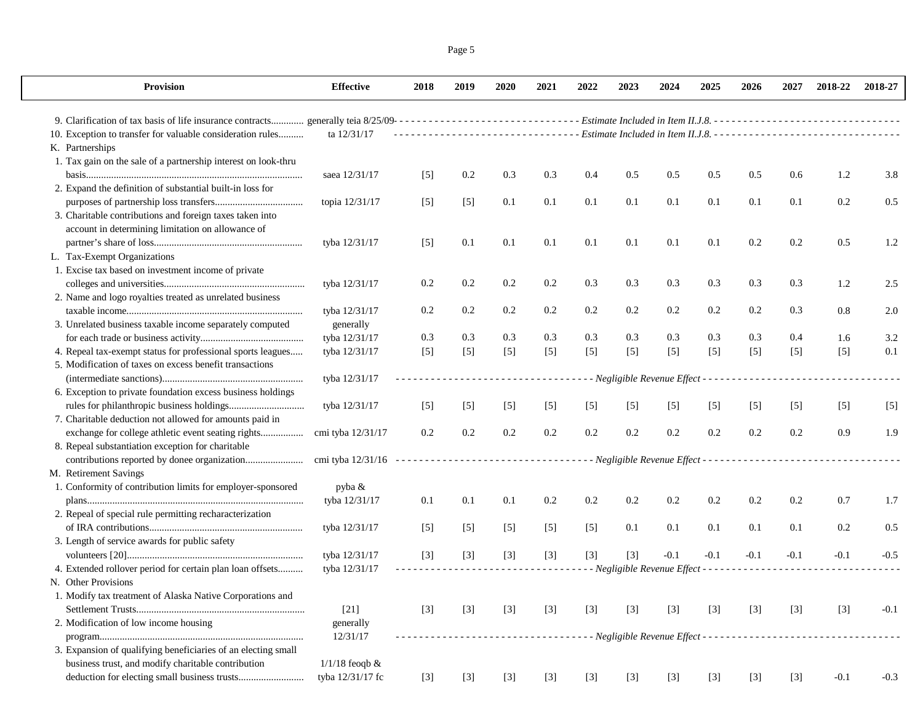| Page 5 |  |
|--------|--|
|        |  |

| Provision                                                                                                              | <b>Effective</b>    | 2018  | 2019  | 2020  | 2021   | 2022    | 2023  | 2024                                                  | 2025    | 2026   | 2027   | 2018-22                                                                                             | 2018-27 |
|------------------------------------------------------------------------------------------------------------------------|---------------------|-------|-------|-------|--------|---------|-------|-------------------------------------------------------|---------|--------|--------|-----------------------------------------------------------------------------------------------------|---------|
|                                                                                                                        |                     |       |       |       |        |         |       |                                                       |         |        |        |                                                                                                     |         |
| 10. Exception to transfer for valuable consideration rules                                                             | ta 12/31/17         |       |       |       |        |         |       |                                                       |         |        |        | --------------------------------- Estimate Included in Item II.J.8. ------------------------------- |         |
| K. Partnerships                                                                                                        |                     |       |       |       |        |         |       |                                                       |         |        |        |                                                                                                     |         |
| 1. Tax gain on the sale of a partnership interest on look-thru                                                         | saea 12/31/17       | $[5]$ | 0.2   | 0.3   | 0.3    | 0.4     | 0.5   | 0.5                                                   | 0.5     | 0.5    | 0.6    | 1.2                                                                                                 | 3.8     |
| 2. Expand the definition of substantial built-in loss for                                                              |                     |       |       |       |        |         |       |                                                       |         |        |        |                                                                                                     |         |
|                                                                                                                        | topia 12/31/17      | $[5]$ | $[5]$ | 0.1   | 0.1    | 0.1     | 0.1   | 0.1                                                   | 0.1     | 0.1    | 0.1    | 0.2                                                                                                 | 0.5     |
| 3. Charitable contributions and foreign taxes taken into                                                               |                     |       |       |       |        |         |       |                                                       |         |        |        |                                                                                                     |         |
| account in determining limitation on allowance of                                                                      |                     |       |       |       |        |         |       |                                                       |         |        |        |                                                                                                     |         |
|                                                                                                                        | tyba 12/31/17       | $[5]$ | 0.1   | 0.1   | 0.1    | 0.1     | 0.1   | 0.1                                                   | 0.1     | 0.2    | 0.2    | 0.5                                                                                                 | 1.2     |
| L. Tax-Exempt Organizations                                                                                            |                     |       |       |       |        |         |       |                                                       |         |        |        |                                                                                                     |         |
| 1. Excise tax based on investment income of private                                                                    |                     |       |       |       |        |         |       |                                                       |         |        |        |                                                                                                     |         |
|                                                                                                                        | tyba 12/31/17       | 0.2   | 0.2   | 0.2   | 0.2    | 0.3     | 0.3   | 0.3                                                   | 0.3     | 0.3    | 0.3    | 1.2                                                                                                 | 2.5     |
| 2. Name and logo royalties treated as unrelated business                                                               |                     |       |       |       |        |         |       |                                                       |         |        |        |                                                                                                     |         |
|                                                                                                                        | tyba 12/31/17       | 0.2   | 0.2   | 0.2   | 0.2    | 0.2     | 0.2   | 0.2                                                   | $0.2\,$ | 0.2    | 0.3    | 0.8                                                                                                 | 2.0     |
| 3. Unrelated business taxable income separately computed                                                               | generally           |       |       |       |        |         |       |                                                       |         |        |        |                                                                                                     |         |
|                                                                                                                        | tyba 12/31/17       | 0.3   | 0.3   | 0.3   | 0.3    | 0.3     | 0.3   | 0.3                                                   | 0.3     | 0.3    | 0.4    | 1.6                                                                                                 | 3.2     |
|                                                                                                                        |                     |       |       |       |        |         |       |                                                       |         |        |        |                                                                                                     |         |
| 4. Repeal tax-exempt status for professional sports leagues<br>5. Modification of taxes on excess benefit transactions | tyba 12/31/17       | $[5]$ | $[5]$ | $[5]$ | $[5]$  | $[5]$   | $[5]$ | $[5]$                                                 | $[5]$   | $[5]$  | $[5]$  | $[5]$                                                                                               | 0.1     |
|                                                                                                                        |                     |       |       |       |        |         |       |                                                       |         |        |        |                                                                                                     |         |
|                                                                                                                        | tyba 12/31/17       |       |       |       | .      |         |       | - - Negligible Revenue Effect - - - - - - - - - - - - |         |        |        |                                                                                                     |         |
| 6. Exception to private foundation excess business holdings                                                            |                     |       |       |       |        |         |       |                                                       |         |        |        |                                                                                                     |         |
|                                                                                                                        | tyba 12/31/17       | $[5]$ | $[5]$ | $[5]$ | $[5]$  | $[5]$   | $[5]$ | $[5]$                                                 | $[5]$   | $[5]$  | $[5]$  | $[5]$                                                                                               | $[5]$   |
| 7. Charitable deduction not allowed for amounts paid in                                                                |                     |       |       |       |        |         |       |                                                       |         |        |        |                                                                                                     |         |
| exchange for college athletic event seating rights                                                                     | cmi tyba 12/31/17   | 0.2   | 0.2   | 0.2   | 0.2    | $0.2\,$ | 0.2   | 0.2                                                   | 0.2     | 0.2    | 0.2    | 0.9                                                                                                 | 1.9     |
| 8. Repeal substantiation exception for charitable                                                                      |                     |       |       |       |        |         |       |                                                       |         |        |        |                                                                                                     |         |
|                                                                                                                        |                     |       |       |       |        |         |       |                                                       |         |        |        |                                                                                                     |         |
| M. Retirement Savings                                                                                                  |                     |       |       |       |        |         |       |                                                       |         |        |        |                                                                                                     |         |
| 1. Conformity of contribution limits for employer-sponsored                                                            | pyba &              |       |       |       |        |         |       |                                                       |         |        |        |                                                                                                     |         |
|                                                                                                                        | tyba 12/31/17       | 0.1   | 0.1   | 0.1   | 0.2    | 0.2     | 0.2   | 0.2                                                   | 0.2     | 0.2    | 0.2    | 0.7                                                                                                 | 1.7     |
| 2. Repeal of special rule permitting recharacterization                                                                |                     |       |       |       |        |         |       |                                                       |         |        |        |                                                                                                     |         |
|                                                                                                                        | tyba 12/31/17       | $[5]$ | $[5]$ | $[5]$ | $[5]$  | $[5]$   | 0.1   | 0.1                                                   | 0.1     | 0.1    | 0.1    | 0.2                                                                                                 | 0.5     |
| 3. Length of service awards for public safety                                                                          |                     |       |       |       |        |         |       |                                                       |         |        |        |                                                                                                     |         |
|                                                                                                                        | tyba 12/31/17       | $[3]$ | $[3]$ | $[3]$ | $[3]$  | $[3]$   | $[3]$ | $-0.1$                                                | $-0.1$  | $-0.1$ | $-0.1$ | $-0.1$                                                                                              | $-0.5$  |
| 4. Extended rollover period for certain plan loan offsets                                                              | tyba 12/31/17       |       |       |       |        |         |       | - - Negligible Revenue Effect - - - - - - - - - - -   |         |        |        |                                                                                                     |         |
| N. Other Provisions                                                                                                    |                     |       |       |       |        |         |       |                                                       |         |        |        |                                                                                                     |         |
| 1. Modify tax treatment of Alaska Native Corporations and                                                              |                     |       |       |       |        |         |       |                                                       |         |        |        |                                                                                                     |         |
|                                                                                                                        | $[21]$              | $[3]$ | $[3]$ | $[3]$ | $[3]$  | $[3]$   | $[3]$ | $[3]$                                                 | $[3]$   | $[3]$  | $[3]$  | $[3]$                                                                                               | $-0.1$  |
| 2. Modification of low income housing                                                                                  | generally           |       |       |       |        |         |       |                                                       |         |        |        |                                                                                                     |         |
|                                                                                                                        | 12/31/17            |       |       |       | ------ |         |       |                                                       |         |        |        |                                                                                                     |         |
| 3. Expansion of qualifying beneficiaries of an electing small                                                          |                     |       |       |       |        |         |       |                                                       |         |        |        |                                                                                                     |         |
| business trust, and modify charitable contribution                                                                     | $1/1/18$ feoqb $\&$ |       |       |       |        |         |       |                                                       |         |        |        |                                                                                                     |         |
|                                                                                                                        | tyba 12/31/17 fc    | $[3]$ | $[3]$ | $[3]$ | $[3]$  | $[3]$   | $[3]$ | $[3]$                                                 | $[3]$   | $[3]$  | $[3]$  | $-0.1$                                                                                              | $-0.3$  |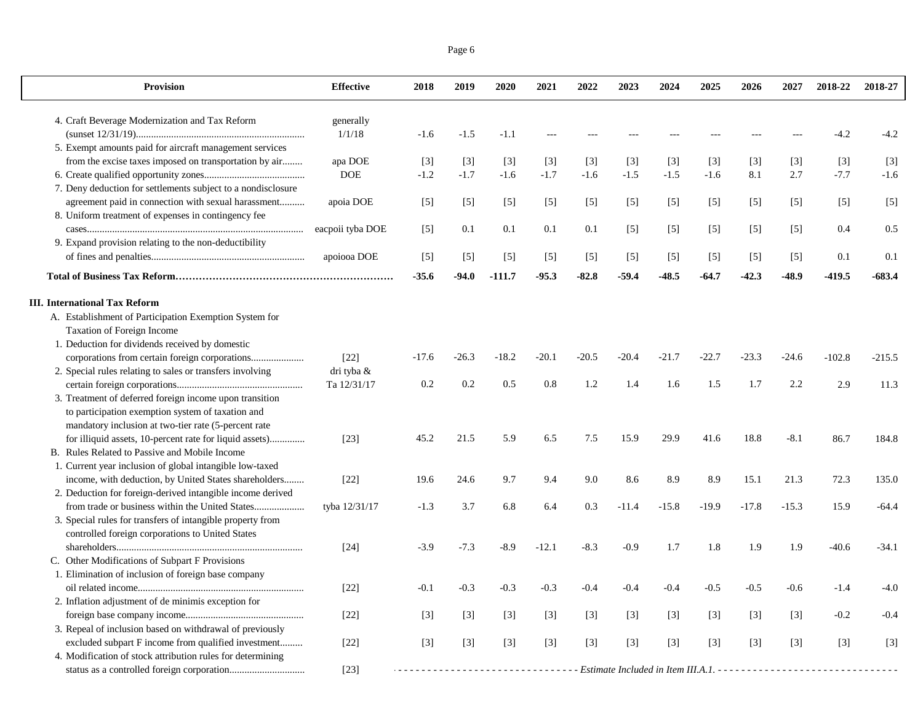| Page 6 |  |
|--------|--|
|        |  |

| <b>Provision</b>                                             | <b>Effective</b> | 2018    | 2019    | 2020     | 2021    | 2022    | 2023              | 2024    | 2025    | 2026    | 2027              | 2018-22  | 2018-27  |
|--------------------------------------------------------------|------------------|---------|---------|----------|---------|---------|-------------------|---------|---------|---------|-------------------|----------|----------|
| 4. Craft Beverage Modernization and Tax Reform               | generally        |         |         |          |         |         |                   |         |         |         |                   |          |          |
|                                                              | 1/1/18           | $-1.6$  | $-1.5$  | $-1.1$   |         |         |                   |         |         |         |                   | $-4.2$   | $-4.2$   |
| 5. Exempt amounts paid for aircraft management services      |                  |         |         |          |         |         |                   |         |         |         |                   |          |          |
| from the excise taxes imposed on transportation by air       | apa DOE          | $[3]$   | $[3]$   | $[3]$    | $[3]$   | $[3]$   | $[3]$             | $[3]$   | $[3]$   | $[3]$   | $[3]$             | $[3]$    | $[3]$    |
|                                                              | $DOE$            | $-1.2$  | $-1.7$  | $-1.6$   | $-1.7$  | $-1.6$  | $-1.5$            | $-1.5$  | $-1.6$  | 8.1     | 2.7               | $-7.7$   | $-1.6$   |
| 7. Deny deduction for settlements subject to a nondisclosure |                  |         |         |          |         |         |                   |         |         |         |                   |          |          |
| agreement paid in connection with sexual harassment          | apoia DOE        | $[5]$   | $[5]$   | $[5]$    | $[5]$   | $[5]$   | $\lceil 5 \rceil$ | $[5]$   | $[5]$   | $[5]$   | $[5]$             | $[5]$    | $[5]$    |
| 8. Uniform treatment of expenses in contingency fee          |                  |         |         |          |         |         |                   |         |         |         |                   |          |          |
|                                                              | eacpoii tyba DOE | $[5]$   | 0.1     | 0.1      | 0.1     | 0.1     | $[5]$             | $[5]$   | $[5]$   | $[5]$   | $\lceil 5 \rceil$ | 0.4      | 0.5      |
| 9. Expand provision relating to the non-deductibility        |                  |         |         |          |         |         |                   |         |         |         |                   |          |          |
|                                                              | apoiooa DOE      | $[5]$   | $[5]$   | $[5]$    | $[5]$   | $[5]$   | $[5]$             | $[5]$   | $[5]$   | $[5]$   | $[5]$             | 0.1      | 0.1      |
|                                                              |                  | $-35.6$ | $-94.0$ | $-111.7$ | $-95.3$ | $-82.8$ | $-59.4$           | $-48.5$ | $-64.7$ | $-42.3$ | -48.9             | -419.5   | $-683.4$ |
| <b>III.</b> International Tax Reform                         |                  |         |         |          |         |         |                   |         |         |         |                   |          |          |
| A. Establishment of Participation Exemption System for       |                  |         |         |          |         |         |                   |         |         |         |                   |          |          |
| Taxation of Foreign Income                                   |                  |         |         |          |         |         |                   |         |         |         |                   |          |          |
| 1. Deduction for dividends received by domestic              |                  |         |         |          |         |         |                   |         |         |         |                   |          |          |
|                                                              | $[22]$           | $-17.6$ | $-26.3$ | $-18.2$  | $-20.1$ | $-20.5$ | $-20.4$           | $-21.7$ | $-22.7$ | $-23.3$ | $-24.6$           | $-102.8$ | $-215.5$ |
| 2. Special rules relating to sales or transfers involving    | dri tyba &       |         |         |          |         |         |                   |         |         |         |                   |          |          |
|                                                              | Ta 12/31/17      | 0.2     | 0.2     | 0.5      | 0.8     | 1.2     | 1.4               | 1.6     | 1.5     | 1.7     | 2.2               | 2.9      | 11.3     |
| 3. Treatment of deferred foreign income upon transition      |                  |         |         |          |         |         |                   |         |         |         |                   |          |          |
| to participation exemption system of taxation and            |                  |         |         |          |         |         |                   |         |         |         |                   |          |          |
| mandatory inclusion at two-tier rate (5-percent rate         |                  |         |         |          |         |         |                   |         |         |         |                   |          |          |
| for illiquid assets, 10-percent rate for liquid assets)      | $[23]$           | 45.2    | 21.5    | 5.9      | 6.5     | 7.5     | 15.9              | 29.9    | 41.6    | 18.8    | $-8.1$            | 86.7     | 184.8    |
| B. Rules Related to Passive and Mobile Income                |                  |         |         |          |         |         |                   |         |         |         |                   |          |          |
| 1. Current year inclusion of global intangible low-taxed     |                  |         |         |          |         |         |                   |         |         |         |                   |          |          |
| income, with deduction, by United States shareholders        | $[22]$           | 19.6    | 24.6    | 9.7      | 9.4     | 9.0     | 8.6               | 8.9     | 8.9     | 15.1    | 21.3              | 72.3     | 135.0    |
| 2. Deduction for foreign-derived intangible income derived   |                  |         |         |          |         |         |                   |         |         |         |                   |          |          |
|                                                              | tyba 12/31/17    | $-1.3$  | 3.7     | 6.8      | 6.4     | 0.3     | $-11.4$           | $-15.8$ | $-19.9$ | $-17.8$ | $-15.3$           | 15.9     | $-64.4$  |
| 3. Special rules for transfers of intangible property from   |                  |         |         |          |         |         |                   |         |         |         |                   |          |          |
| controlled foreign corporations to United States             |                  |         |         |          |         |         |                   |         |         |         |                   |          |          |
|                                                              | $[24]$           | $-3.9$  | $-7.3$  | $-8.9$   | $-12.1$ | $-8.3$  | $-0.9$            | 1.7     | 1.8     | 1.9     | 1.9               | $-40.6$  | $-34.1$  |
| C. Other Modifications of Subpart F Provisions               |                  |         |         |          |         |         |                   |         |         |         |                   |          |          |
| 1. Elimination of inclusion of foreign base company          |                  |         |         |          |         |         |                   |         |         |         |                   |          |          |
|                                                              | $[22]$           | $-0.1$  | $-0.3$  | $-0.3$   | $-0.3$  | $-0.4$  | $-0.4$            | $-0.4$  | $-0.5$  | $-0.5$  | $-0.6$            | $-1.4$   | $-4.0$   |
| 2. Inflation adjustment of de minimis exception for          |                  |         |         |          |         |         |                   |         |         |         |                   |          |          |
|                                                              | $[22]$           | $[3]$   | $[3]$   | $[3]$    | $[3]$   | $[3]$   | $[3]$             | $[3]$   | $[3]$   | $[3]$   | $[3]$             | $-0.2$   | $-0.4$   |
| 3. Repeal of inclusion based on withdrawal of previously     |                  |         |         |          |         |         |                   |         |         |         |                   |          |          |
| excluded subpart F income from qualified investment          | $[22]$           | $[3]$   | $[3]$   | $[3]$    | $[3]$   | $[3]$   | $[3]$             | $[3]$   | $[3]$   | $[3]$   | $[3]$             | $[3]$    | $[3]$    |
| 4. Modification of stock attribution rules for determining   |                  |         |         |          |         |         |                   |         |         |         |                   |          |          |
|                                                              | $[23]$           |         |         |          |         |         |                   |         |         |         |                   |          |          |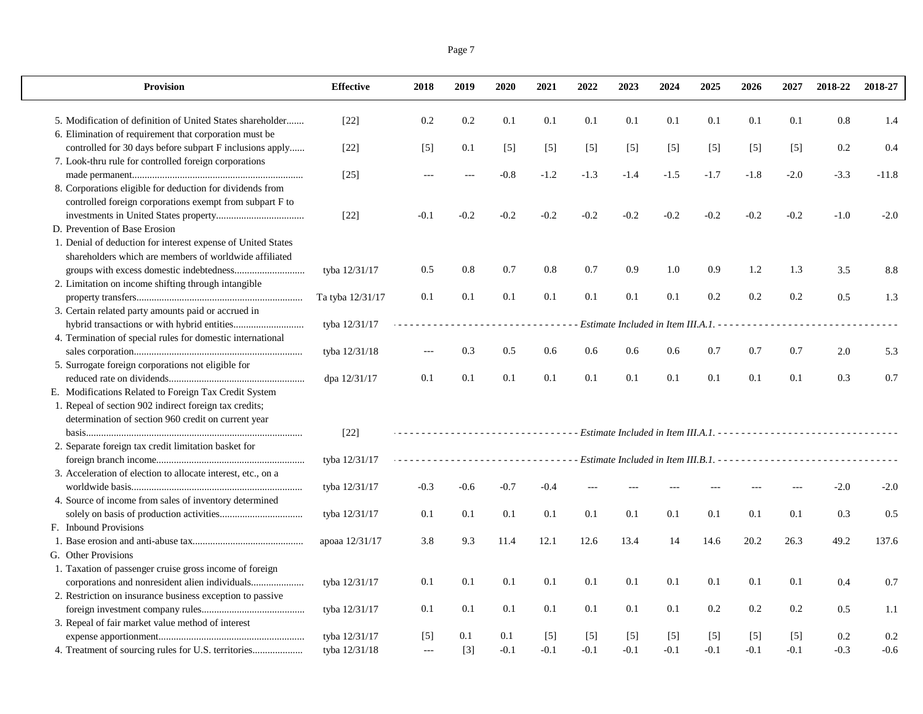| Page 7 |  |
|--------|--|

 $\mathbf{L}$ 

| 0.1<br>0.1<br>0.1<br>5. Modification of definition of United States shareholder<br>$[22]$<br>0.2<br>0.2<br>0.1<br>0.1<br>0.1<br>0.1<br>0.1<br>0.8<br>1.4<br>6. Elimination of requirement that corporation must be<br>controlled for 30 days before subpart F inclusions apply<br>$[22]$<br>0.1<br>$[5]$<br>0.2<br>0.4<br>$[5]$<br>$[5]$<br>$[5]$<br>$[5]$<br>$[5]$<br>$[5]$<br>$[5]$<br>$[5]$<br>7. Look-thru rule for controlled foreign corporations<br>$-0.8$<br>$-1.2$<br>$-1.3$<br>$-1.4$<br>$-1.5$<br>$-1.7$<br>$-1.8$<br>$-2.0$<br>$-3.3$<br>$[25]$<br>$-11.8$<br>$---$<br>$ -$<br>8. Corporations eligible for deduction for dividends from<br>controlled foreign corporations exempt from subpart F to<br>$[22]$<br>$-0.2$<br>$-0.2$<br>$-0.2$<br>$-0.2$<br>$-0.2$<br>$-0.2$<br>$-0.2$<br>$-0.2$<br>$-0.2$<br>$-1.0$<br>$-2.0$<br>$-0.1$<br>D. Prevention of Base Erosion<br>1. Denial of deduction for interest expense of United States<br>shareholders which are members of worldwide affiliated<br>0.8<br>0.7<br>0.9<br>1.2<br>tyba 12/31/17<br>0.5<br>0.8<br>0.7<br>0.9<br>1.0<br>1.3<br>3.5<br>8.8<br>2. Limitation on income shifting through intangible<br>0.2<br>0.2<br>0.5<br>Ta tyba 12/31/17<br>0.1<br>0.1<br>0.1<br>0.1<br>0.1<br>0.1<br>0.1<br>0.2<br>1.3<br>3. Certain related party amounts paid or accrued in<br>tyba 12/31/17<br>Estimate Included in Item III.A.1. -<br>- - - -<br>4. Termination of special rules for domestic international<br>0.7<br>0.7<br>0.7<br>tyba 12/31/18<br>0.3<br>0.5<br>0.6<br>0.6<br>0.6<br>0.6<br>2.0<br>5.3<br>5. Surrogate foreign corporations not eligible for<br>0.1<br>0.1<br>0.1<br>0.1<br>0.1<br>0.1<br>0.1<br>0.1<br>0.1<br>0.3<br>0.7<br>0.1<br>dpa 12/31/17<br>E. Modifications Related to Foreign Tax Credit System<br>1. Repeal of section 902 indirect foreign tax credits;<br>determination of section 960 credit on current year<br>$[22]$<br>.<br>2. Separate foreign tax credit limitation basket for<br>tyba 12/31/17<br>- Estimate Included in Item III.B.1. - - - - - - - - - - - - - - - - -<br>.<br>3. Acceleration of election to allocate interest, etc., on a<br>$-0.3$<br>$-0.7$<br>$-0.4$<br>tyba 12/31/17<br>$-0.6$<br>$-2.0$<br>$-2.0$<br>4. Source of income from sales of inventory determined<br>0.1<br>tyba 12/31/17<br>0.1<br>0.1<br>0.1<br>0.1<br>0.1<br>0.1<br>0.1<br>0.1<br>0.1<br>0.3<br>0.5<br>F. Inbound Provisions<br>12.1<br>13.4<br>20.2<br>26.3<br>49.2<br>apoaa 12/31/17<br>3.8<br>9.3<br>11.4<br>12.6<br>14<br>14.6<br>137.6<br>G. Other Provisions<br>1. Taxation of passenger cruise gross income of foreign<br>0.1<br>0.1<br>tyba 12/31/17<br>0.1<br>0.1<br>0.1<br>0.1<br>0.1<br>0.1<br>0.1<br>0.1<br>0.4<br>0.7<br>2. Restriction on insurance business exception to passive<br>0.2<br>0.2<br>0.2<br>tyba 12/31/17<br>0.1<br>0.1<br>0.1<br>0.1<br>0.1<br>0.1<br>0.1<br>0.5<br>1.1<br>3. Repeal of fair market value method of interest | <b>Provision</b> | <b>Effective</b> | 2018 | 2019 | 2020 | 2021 | 2022 | 2023 | 2024 | 2025 | 2026 | 2027 | 2018-22 | 2018-27 |
|-------------------------------------------------------------------------------------------------------------------------------------------------------------------------------------------------------------------------------------------------------------------------------------------------------------------------------------------------------------------------------------------------------------------------------------------------------------------------------------------------------------------------------------------------------------------------------------------------------------------------------------------------------------------------------------------------------------------------------------------------------------------------------------------------------------------------------------------------------------------------------------------------------------------------------------------------------------------------------------------------------------------------------------------------------------------------------------------------------------------------------------------------------------------------------------------------------------------------------------------------------------------------------------------------------------------------------------------------------------------------------------------------------------------------------------------------------------------------------------------------------------------------------------------------------------------------------------------------------------------------------------------------------------------------------------------------------------------------------------------------------------------------------------------------------------------------------------------------------------------------------------------------------------------------------------------------------------------------------------------------------------------------------------------------------------------------------------------------------------------------------------------------------------------------------------------------------------------------------------------------------------------------------------------------------------------------------------------------------------------------------------------------------------------------------------------------------------------------------------------------------------------------------------------------------------------------------------------------------------------------------------------------------------------------------------------------------------------------------------------------------------------------------------------------------------------------------------------------------------------------------------------------------------------------------------------------------|------------------|------------------|------|------|------|------|------|------|------|------|------|------|---------|---------|
|                                                                                                                                                                                                                                                                                                                                                                                                                                                                                                                                                                                                                                                                                                                                                                                                                                                                                                                                                                                                                                                                                                                                                                                                                                                                                                                                                                                                                                                                                                                                                                                                                                                                                                                                                                                                                                                                                                                                                                                                                                                                                                                                                                                                                                                                                                                                                                                                                                                                                                                                                                                                                                                                                                                                                                                                                                                                                                                                                       |                  |                  |      |      |      |      |      |      |      |      |      |      |         |         |
|                                                                                                                                                                                                                                                                                                                                                                                                                                                                                                                                                                                                                                                                                                                                                                                                                                                                                                                                                                                                                                                                                                                                                                                                                                                                                                                                                                                                                                                                                                                                                                                                                                                                                                                                                                                                                                                                                                                                                                                                                                                                                                                                                                                                                                                                                                                                                                                                                                                                                                                                                                                                                                                                                                                                                                                                                                                                                                                                                       |                  |                  |      |      |      |      |      |      |      |      |      |      |         |         |
|                                                                                                                                                                                                                                                                                                                                                                                                                                                                                                                                                                                                                                                                                                                                                                                                                                                                                                                                                                                                                                                                                                                                                                                                                                                                                                                                                                                                                                                                                                                                                                                                                                                                                                                                                                                                                                                                                                                                                                                                                                                                                                                                                                                                                                                                                                                                                                                                                                                                                                                                                                                                                                                                                                                                                                                                                                                                                                                                                       |                  |                  |      |      |      |      |      |      |      |      |      |      |         |         |
|                                                                                                                                                                                                                                                                                                                                                                                                                                                                                                                                                                                                                                                                                                                                                                                                                                                                                                                                                                                                                                                                                                                                                                                                                                                                                                                                                                                                                                                                                                                                                                                                                                                                                                                                                                                                                                                                                                                                                                                                                                                                                                                                                                                                                                                                                                                                                                                                                                                                                                                                                                                                                                                                                                                                                                                                                                                                                                                                                       |                  |                  |      |      |      |      |      |      |      |      |      |      |         |         |
|                                                                                                                                                                                                                                                                                                                                                                                                                                                                                                                                                                                                                                                                                                                                                                                                                                                                                                                                                                                                                                                                                                                                                                                                                                                                                                                                                                                                                                                                                                                                                                                                                                                                                                                                                                                                                                                                                                                                                                                                                                                                                                                                                                                                                                                                                                                                                                                                                                                                                                                                                                                                                                                                                                                                                                                                                                                                                                                                                       |                  |                  |      |      |      |      |      |      |      |      |      |      |         |         |
|                                                                                                                                                                                                                                                                                                                                                                                                                                                                                                                                                                                                                                                                                                                                                                                                                                                                                                                                                                                                                                                                                                                                                                                                                                                                                                                                                                                                                                                                                                                                                                                                                                                                                                                                                                                                                                                                                                                                                                                                                                                                                                                                                                                                                                                                                                                                                                                                                                                                                                                                                                                                                                                                                                                                                                                                                                                                                                                                                       |                  |                  |      |      |      |      |      |      |      |      |      |      |         |         |
|                                                                                                                                                                                                                                                                                                                                                                                                                                                                                                                                                                                                                                                                                                                                                                                                                                                                                                                                                                                                                                                                                                                                                                                                                                                                                                                                                                                                                                                                                                                                                                                                                                                                                                                                                                                                                                                                                                                                                                                                                                                                                                                                                                                                                                                                                                                                                                                                                                                                                                                                                                                                                                                                                                                                                                                                                                                                                                                                                       |                  |                  |      |      |      |      |      |      |      |      |      |      |         |         |
|                                                                                                                                                                                                                                                                                                                                                                                                                                                                                                                                                                                                                                                                                                                                                                                                                                                                                                                                                                                                                                                                                                                                                                                                                                                                                                                                                                                                                                                                                                                                                                                                                                                                                                                                                                                                                                                                                                                                                                                                                                                                                                                                                                                                                                                                                                                                                                                                                                                                                                                                                                                                                                                                                                                                                                                                                                                                                                                                                       |                  |                  |      |      |      |      |      |      |      |      |      |      |         |         |
|                                                                                                                                                                                                                                                                                                                                                                                                                                                                                                                                                                                                                                                                                                                                                                                                                                                                                                                                                                                                                                                                                                                                                                                                                                                                                                                                                                                                                                                                                                                                                                                                                                                                                                                                                                                                                                                                                                                                                                                                                                                                                                                                                                                                                                                                                                                                                                                                                                                                                                                                                                                                                                                                                                                                                                                                                                                                                                                                                       |                  |                  |      |      |      |      |      |      |      |      |      |      |         |         |
|                                                                                                                                                                                                                                                                                                                                                                                                                                                                                                                                                                                                                                                                                                                                                                                                                                                                                                                                                                                                                                                                                                                                                                                                                                                                                                                                                                                                                                                                                                                                                                                                                                                                                                                                                                                                                                                                                                                                                                                                                                                                                                                                                                                                                                                                                                                                                                                                                                                                                                                                                                                                                                                                                                                                                                                                                                                                                                                                                       |                  |                  |      |      |      |      |      |      |      |      |      |      |         |         |
|                                                                                                                                                                                                                                                                                                                                                                                                                                                                                                                                                                                                                                                                                                                                                                                                                                                                                                                                                                                                                                                                                                                                                                                                                                                                                                                                                                                                                                                                                                                                                                                                                                                                                                                                                                                                                                                                                                                                                                                                                                                                                                                                                                                                                                                                                                                                                                                                                                                                                                                                                                                                                                                                                                                                                                                                                                                                                                                                                       |                  |                  |      |      |      |      |      |      |      |      |      |      |         |         |
|                                                                                                                                                                                                                                                                                                                                                                                                                                                                                                                                                                                                                                                                                                                                                                                                                                                                                                                                                                                                                                                                                                                                                                                                                                                                                                                                                                                                                                                                                                                                                                                                                                                                                                                                                                                                                                                                                                                                                                                                                                                                                                                                                                                                                                                                                                                                                                                                                                                                                                                                                                                                                                                                                                                                                                                                                                                                                                                                                       |                  |                  |      |      |      |      |      |      |      |      |      |      |         |         |
|                                                                                                                                                                                                                                                                                                                                                                                                                                                                                                                                                                                                                                                                                                                                                                                                                                                                                                                                                                                                                                                                                                                                                                                                                                                                                                                                                                                                                                                                                                                                                                                                                                                                                                                                                                                                                                                                                                                                                                                                                                                                                                                                                                                                                                                                                                                                                                                                                                                                                                                                                                                                                                                                                                                                                                                                                                                                                                                                                       |                  |                  |      |      |      |      |      |      |      |      |      |      |         |         |
|                                                                                                                                                                                                                                                                                                                                                                                                                                                                                                                                                                                                                                                                                                                                                                                                                                                                                                                                                                                                                                                                                                                                                                                                                                                                                                                                                                                                                                                                                                                                                                                                                                                                                                                                                                                                                                                                                                                                                                                                                                                                                                                                                                                                                                                                                                                                                                                                                                                                                                                                                                                                                                                                                                                                                                                                                                                                                                                                                       |                  |                  |      |      |      |      |      |      |      |      |      |      |         |         |
|                                                                                                                                                                                                                                                                                                                                                                                                                                                                                                                                                                                                                                                                                                                                                                                                                                                                                                                                                                                                                                                                                                                                                                                                                                                                                                                                                                                                                                                                                                                                                                                                                                                                                                                                                                                                                                                                                                                                                                                                                                                                                                                                                                                                                                                                                                                                                                                                                                                                                                                                                                                                                                                                                                                                                                                                                                                                                                                                                       |                  |                  |      |      |      |      |      |      |      |      |      |      |         |         |
|                                                                                                                                                                                                                                                                                                                                                                                                                                                                                                                                                                                                                                                                                                                                                                                                                                                                                                                                                                                                                                                                                                                                                                                                                                                                                                                                                                                                                                                                                                                                                                                                                                                                                                                                                                                                                                                                                                                                                                                                                                                                                                                                                                                                                                                                                                                                                                                                                                                                                                                                                                                                                                                                                                                                                                                                                                                                                                                                                       |                  |                  |      |      |      |      |      |      |      |      |      |      |         |         |
|                                                                                                                                                                                                                                                                                                                                                                                                                                                                                                                                                                                                                                                                                                                                                                                                                                                                                                                                                                                                                                                                                                                                                                                                                                                                                                                                                                                                                                                                                                                                                                                                                                                                                                                                                                                                                                                                                                                                                                                                                                                                                                                                                                                                                                                                                                                                                                                                                                                                                                                                                                                                                                                                                                                                                                                                                                                                                                                                                       |                  |                  |      |      |      |      |      |      |      |      |      |      |         |         |
|                                                                                                                                                                                                                                                                                                                                                                                                                                                                                                                                                                                                                                                                                                                                                                                                                                                                                                                                                                                                                                                                                                                                                                                                                                                                                                                                                                                                                                                                                                                                                                                                                                                                                                                                                                                                                                                                                                                                                                                                                                                                                                                                                                                                                                                                                                                                                                                                                                                                                                                                                                                                                                                                                                                                                                                                                                                                                                                                                       |                  |                  |      |      |      |      |      |      |      |      |      |      |         |         |
|                                                                                                                                                                                                                                                                                                                                                                                                                                                                                                                                                                                                                                                                                                                                                                                                                                                                                                                                                                                                                                                                                                                                                                                                                                                                                                                                                                                                                                                                                                                                                                                                                                                                                                                                                                                                                                                                                                                                                                                                                                                                                                                                                                                                                                                                                                                                                                                                                                                                                                                                                                                                                                                                                                                                                                                                                                                                                                                                                       |                  |                  |      |      |      |      |      |      |      |      |      |      |         |         |
|                                                                                                                                                                                                                                                                                                                                                                                                                                                                                                                                                                                                                                                                                                                                                                                                                                                                                                                                                                                                                                                                                                                                                                                                                                                                                                                                                                                                                                                                                                                                                                                                                                                                                                                                                                                                                                                                                                                                                                                                                                                                                                                                                                                                                                                                                                                                                                                                                                                                                                                                                                                                                                                                                                                                                                                                                                                                                                                                                       |                  |                  |      |      |      |      |      |      |      |      |      |      |         |         |
|                                                                                                                                                                                                                                                                                                                                                                                                                                                                                                                                                                                                                                                                                                                                                                                                                                                                                                                                                                                                                                                                                                                                                                                                                                                                                                                                                                                                                                                                                                                                                                                                                                                                                                                                                                                                                                                                                                                                                                                                                                                                                                                                                                                                                                                                                                                                                                                                                                                                                                                                                                                                                                                                                                                                                                                                                                                                                                                                                       |                  |                  |      |      |      |      |      |      |      |      |      |      |         |         |
|                                                                                                                                                                                                                                                                                                                                                                                                                                                                                                                                                                                                                                                                                                                                                                                                                                                                                                                                                                                                                                                                                                                                                                                                                                                                                                                                                                                                                                                                                                                                                                                                                                                                                                                                                                                                                                                                                                                                                                                                                                                                                                                                                                                                                                                                                                                                                                                                                                                                                                                                                                                                                                                                                                                                                                                                                                                                                                                                                       |                  |                  |      |      |      |      |      |      |      |      |      |      |         |         |
|                                                                                                                                                                                                                                                                                                                                                                                                                                                                                                                                                                                                                                                                                                                                                                                                                                                                                                                                                                                                                                                                                                                                                                                                                                                                                                                                                                                                                                                                                                                                                                                                                                                                                                                                                                                                                                                                                                                                                                                                                                                                                                                                                                                                                                                                                                                                                                                                                                                                                                                                                                                                                                                                                                                                                                                                                                                                                                                                                       |                  |                  |      |      |      |      |      |      |      |      |      |      |         |         |
|                                                                                                                                                                                                                                                                                                                                                                                                                                                                                                                                                                                                                                                                                                                                                                                                                                                                                                                                                                                                                                                                                                                                                                                                                                                                                                                                                                                                                                                                                                                                                                                                                                                                                                                                                                                                                                                                                                                                                                                                                                                                                                                                                                                                                                                                                                                                                                                                                                                                                                                                                                                                                                                                                                                                                                                                                                                                                                                                                       |                  |                  |      |      |      |      |      |      |      |      |      |      |         |         |
|                                                                                                                                                                                                                                                                                                                                                                                                                                                                                                                                                                                                                                                                                                                                                                                                                                                                                                                                                                                                                                                                                                                                                                                                                                                                                                                                                                                                                                                                                                                                                                                                                                                                                                                                                                                                                                                                                                                                                                                                                                                                                                                                                                                                                                                                                                                                                                                                                                                                                                                                                                                                                                                                                                                                                                                                                                                                                                                                                       |                  |                  |      |      |      |      |      |      |      |      |      |      |         |         |
|                                                                                                                                                                                                                                                                                                                                                                                                                                                                                                                                                                                                                                                                                                                                                                                                                                                                                                                                                                                                                                                                                                                                                                                                                                                                                                                                                                                                                                                                                                                                                                                                                                                                                                                                                                                                                                                                                                                                                                                                                                                                                                                                                                                                                                                                                                                                                                                                                                                                                                                                                                                                                                                                                                                                                                                                                                                                                                                                                       |                  |                  |      |      |      |      |      |      |      |      |      |      |         |         |
|                                                                                                                                                                                                                                                                                                                                                                                                                                                                                                                                                                                                                                                                                                                                                                                                                                                                                                                                                                                                                                                                                                                                                                                                                                                                                                                                                                                                                                                                                                                                                                                                                                                                                                                                                                                                                                                                                                                                                                                                                                                                                                                                                                                                                                                                                                                                                                                                                                                                                                                                                                                                                                                                                                                                                                                                                                                                                                                                                       |                  |                  |      |      |      |      |      |      |      |      |      |      |         |         |
|                                                                                                                                                                                                                                                                                                                                                                                                                                                                                                                                                                                                                                                                                                                                                                                                                                                                                                                                                                                                                                                                                                                                                                                                                                                                                                                                                                                                                                                                                                                                                                                                                                                                                                                                                                                                                                                                                                                                                                                                                                                                                                                                                                                                                                                                                                                                                                                                                                                                                                                                                                                                                                                                                                                                                                                                                                                                                                                                                       |                  |                  |      |      |      |      |      |      |      |      |      |      |         |         |
|                                                                                                                                                                                                                                                                                                                                                                                                                                                                                                                                                                                                                                                                                                                                                                                                                                                                                                                                                                                                                                                                                                                                                                                                                                                                                                                                                                                                                                                                                                                                                                                                                                                                                                                                                                                                                                                                                                                                                                                                                                                                                                                                                                                                                                                                                                                                                                                                                                                                                                                                                                                                                                                                                                                                                                                                                                                                                                                                                       |                  |                  |      |      |      |      |      |      |      |      |      |      |         |         |
|                                                                                                                                                                                                                                                                                                                                                                                                                                                                                                                                                                                                                                                                                                                                                                                                                                                                                                                                                                                                                                                                                                                                                                                                                                                                                                                                                                                                                                                                                                                                                                                                                                                                                                                                                                                                                                                                                                                                                                                                                                                                                                                                                                                                                                                                                                                                                                                                                                                                                                                                                                                                                                                                                                                                                                                                                                                                                                                                                       |                  |                  |      |      |      |      |      |      |      |      |      |      |         |         |
|                                                                                                                                                                                                                                                                                                                                                                                                                                                                                                                                                                                                                                                                                                                                                                                                                                                                                                                                                                                                                                                                                                                                                                                                                                                                                                                                                                                                                                                                                                                                                                                                                                                                                                                                                                                                                                                                                                                                                                                                                                                                                                                                                                                                                                                                                                                                                                                                                                                                                                                                                                                                                                                                                                                                                                                                                                                                                                                                                       |                  |                  |      |      |      |      |      |      |      |      |      |      |         |         |
|                                                                                                                                                                                                                                                                                                                                                                                                                                                                                                                                                                                                                                                                                                                                                                                                                                                                                                                                                                                                                                                                                                                                                                                                                                                                                                                                                                                                                                                                                                                                                                                                                                                                                                                                                                                                                                                                                                                                                                                                                                                                                                                                                                                                                                                                                                                                                                                                                                                                                                                                                                                                                                                                                                                                                                                                                                                                                                                                                       |                  |                  |      |      |      |      |      |      |      |      |      |      |         |         |
|                                                                                                                                                                                                                                                                                                                                                                                                                                                                                                                                                                                                                                                                                                                                                                                                                                                                                                                                                                                                                                                                                                                                                                                                                                                                                                                                                                                                                                                                                                                                                                                                                                                                                                                                                                                                                                                                                                                                                                                                                                                                                                                                                                                                                                                                                                                                                                                                                                                                                                                                                                                                                                                                                                                                                                                                                                                                                                                                                       |                  |                  |      |      |      |      |      |      |      |      |      |      |         |         |
|                                                                                                                                                                                                                                                                                                                                                                                                                                                                                                                                                                                                                                                                                                                                                                                                                                                                                                                                                                                                                                                                                                                                                                                                                                                                                                                                                                                                                                                                                                                                                                                                                                                                                                                                                                                                                                                                                                                                                                                                                                                                                                                                                                                                                                                                                                                                                                                                                                                                                                                                                                                                                                                                                                                                                                                                                                                                                                                                                       |                  |                  |      |      |      |      |      |      |      |      |      |      |         |         |
|                                                                                                                                                                                                                                                                                                                                                                                                                                                                                                                                                                                                                                                                                                                                                                                                                                                                                                                                                                                                                                                                                                                                                                                                                                                                                                                                                                                                                                                                                                                                                                                                                                                                                                                                                                                                                                                                                                                                                                                                                                                                                                                                                                                                                                                                                                                                                                                                                                                                                                                                                                                                                                                                                                                                                                                                                                                                                                                                                       |                  |                  |      |      |      |      |      |      |      |      |      |      |         |         |
|                                                                                                                                                                                                                                                                                                                                                                                                                                                                                                                                                                                                                                                                                                                                                                                                                                                                                                                                                                                                                                                                                                                                                                                                                                                                                                                                                                                                                                                                                                                                                                                                                                                                                                                                                                                                                                                                                                                                                                                                                                                                                                                                                                                                                                                                                                                                                                                                                                                                                                                                                                                                                                                                                                                                                                                                                                                                                                                                                       |                  |                  |      |      |      |      |      |      |      |      |      |      |         |         |
| 0.2<br>0.2<br>tyba 12/31/17<br>$\lceil 5 \rceil$<br>0.1<br>0.1<br>$[5]$<br>$[5]$<br>$[5]$<br>$[5]$<br>$[5]$<br>$[5]$<br>$[5]$                                                                                                                                                                                                                                                                                                                                                                                                                                                                                                                                                                                                                                                                                                                                                                                                                                                                                                                                                                                                                                                                                                                                                                                                                                                                                                                                                                                                                                                                                                                                                                                                                                                                                                                                                                                                                                                                                                                                                                                                                                                                                                                                                                                                                                                                                                                                                                                                                                                                                                                                                                                                                                                                                                                                                                                                                         |                  |                  |      |      |      |      |      |      |      |      |      |      |         |         |
| $-0.1$<br>$-0.1$<br>$-0.1$<br>$-0.1$<br>$-0.1$<br>$-0.1$<br>$-0.1$<br>$-0.1$<br>$-0.3$<br>$-0.6$<br>4. Treatment of sourcing rules for U.S. territories<br>tyba 12/31/18<br>$[3]$<br>$\mathbb{L} \mathbb{L} \mathbb{L}$                                                                                                                                                                                                                                                                                                                                                                                                                                                                                                                                                                                                                                                                                                                                                                                                                                                                                                                                                                                                                                                                                                                                                                                                                                                                                                                                                                                                                                                                                                                                                                                                                                                                                                                                                                                                                                                                                                                                                                                                                                                                                                                                                                                                                                                                                                                                                                                                                                                                                                                                                                                                                                                                                                                               |                  |                  |      |      |      |      |      |      |      |      |      |      |         |         |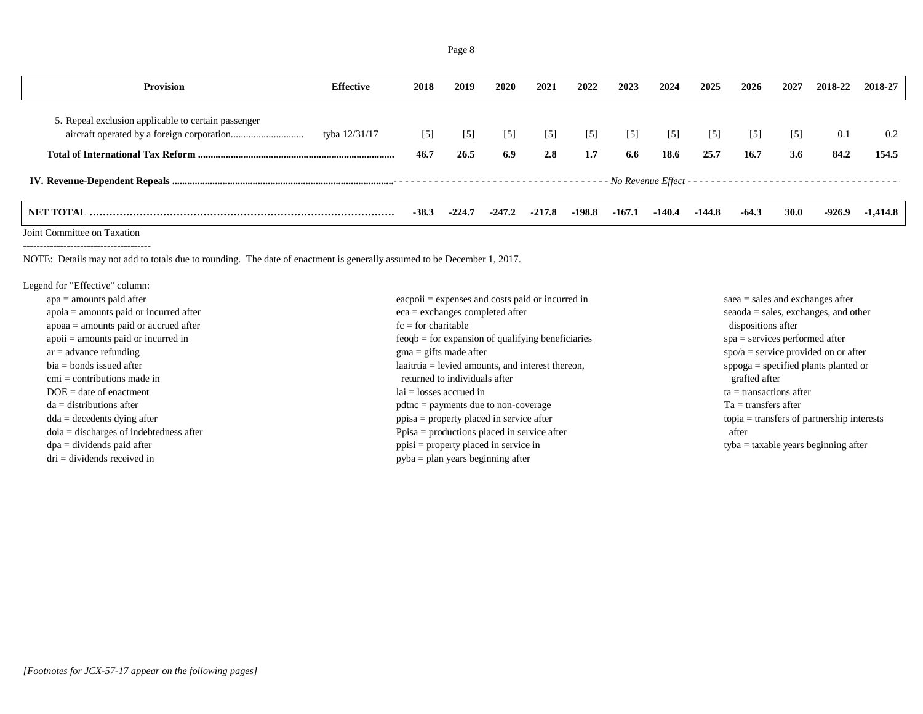| <b>Provision</b>                                    | Effective     | 2018    | 2019              | 2020              | 2021     | 2022     | 2023     | 2024              | 2025     | 2026              | 2027              | 2018-22 | 2018-27  |
|-----------------------------------------------------|---------------|---------|-------------------|-------------------|----------|----------|----------|-------------------|----------|-------------------|-------------------|---------|----------|
| 5. Repeal exclusion applicable to certain passenger | tyba 12/31/17 | $[5]$   | $\lceil 5 \rceil$ | $\lceil 5 \rceil$ | $[5]$    | $[5]$    | $[5]$    | $\lceil 5 \rceil$ | $[5]$    | $\lceil 5 \rceil$ | $\lceil 5 \rceil$ | 0.1     | 0.2      |
|                                                     |               | 46.7    | 26.5              | 6.9               | 2.8      | 1.7      | 6.6      | 18.6              | 25.7     | 16.7              | 3.6               | 84.2    | 154.5    |
|                                                     |               |         |                   |                   |          |          |          |                   |          |                   |                   |         |          |
|                                                     |               | $-38.3$ | $-224.$           | $-247.2$          | $-217.8$ | $-198.8$ | $-167.1$ | -140.4            | $-144.8$ | $-64.3$           | <b>30.0</b>       | -926.9  | -1,414.8 |

Joint Committee on Taxation --------------------------------------

NOTE: Details may not add to totals due to rounding. The date of enactment is generally assumed to be December 1, 2017.

Legend for "Effective" column:

| $apa = amounts paid after$                | $\alpha$ eacpoii = expenses and costs paid or incurred in | $saea = sales$ and exchanges after                  |
|-------------------------------------------|-----------------------------------------------------------|-----------------------------------------------------|
| $apoia = amounts paid or incurred after$  | $eca =$ exchanges completed after                         | $seaoda = sales, exchanges, and other$              |
| $apoaa = amounts$ paid or accrued after   | $fc = for$ charitable                                     | dispositions after                                  |
| $apoii = amounts paid or incurred in$     | $feogb = for expansion of qualifying benefits$            | $spa =$ services performed after                    |
| $ar = advance$ refunding                  | $\text{g}$ ma = gifts made after                          | $spo/a =$ service provided on or after              |
| $bia = bonds$ issued after                | $laairtia = levied amounts, and interest thereon,$        | $\text{spoga} = \text{specified plants planted or}$ |
| $cmi =$ contributions made in             | returned to individuals after                             | grafted after                                       |
| $DOE = date of enactment$                 | $lai = losses accrued in$                                 | $ta =$ transactions after                           |
| $da =$ distributions after                | $pdtnc = payments due to non-coverage$                    | $Ta =$ transfers after                              |
| $dda = decedents$ dying after             | $ppisa = property placed in service after$                | $topia = \text{transfers of partnership interests}$ |
| $doia = discharges of indebtedness after$ | $Ppisa =$ productions placed in service after             | after                                               |
| $dpa = \text{dividends paid after}$       | $ppisi = property placed in service in$                   | $t$ yba = taxable years beginning after             |
| $dri = \text{dividends received in}$      | $pyba = plan \text{ years beginning after}$               |                                                     |
|                                           |                                                           |                                                     |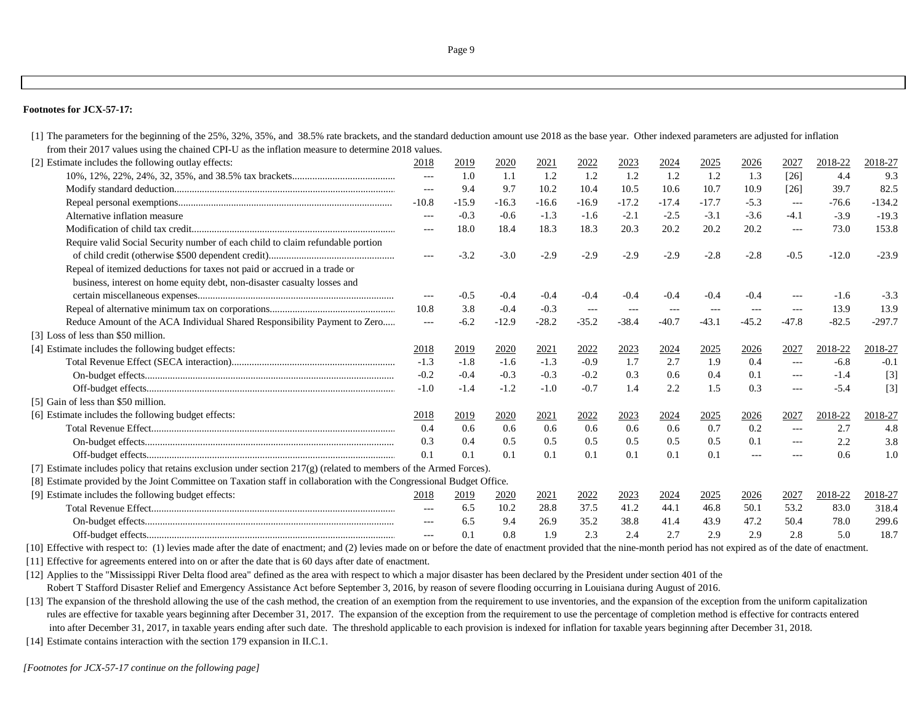## **Footnotes for JCX-57-17:**

[1] The parameters for the beginning of the 25%, 32%, 35%, and 38.5% rate brackets, and the standard deduction amount use 2018 as the base year. Other indexed parameters are adjusted for inflation from their 2017 values using the chained CPI-U as the inflation measure to determine 2018 values.

| [2] Estimate includes the following outlay effects:                                                                   | 2018                                | 2019    | 2020    | 2021        | 2022                 | 2023    | 2024        | 2025        | 2026          | 2027                | 2018-22 | 2018-27  |
|-----------------------------------------------------------------------------------------------------------------------|-------------------------------------|---------|---------|-------------|----------------------|---------|-------------|-------------|---------------|---------------------|---------|----------|
|                                                                                                                       | $---$                               | 1.0     | 1.1     | 1.2         | 1.2                  | 1.2     | 1.2         | 1.2         | 1.3           | $[26]$              | 4.4     | 9.3      |
|                                                                                                                       | $---$                               | 9.4     | 9.7     | 10.2        | 10.4                 | 10.5    | 10.6        | 10.7        | 10.9          | $[26]$              | 39.7    | 82.5     |
|                                                                                                                       | $-10.8$                             | $-15.9$ | $-16.3$ | $-16.6$     | $-16.9$              | $-17.2$ | $-17.4$     | $-17.7$     | $-5.3$        | $---$               | $-76.6$ | $-134.2$ |
| Alternative inflation measure                                                                                         | $---$                               | $-0.3$  | $-0.6$  | $-1.3$      | $-1.6$               | $-2.1$  | $-2.5$      | $-3.1$      | $-3.6$        | $-4.1$              | $-3.9$  | $-19.3$  |
|                                                                                                                       | $---$                               | 18.0    | 18.4    | 18.3        | 18.3                 | 20.3    | 20.2        | 20.2        | 20.2          | $\qquad \qquad -$   | 73.0    | 153.8    |
| Require valid Social Security number of each child to claim refundable portion                                        |                                     |         |         |             |                      |         |             |             |               |                     |         |          |
|                                                                                                                       | $\hspace{0.05cm}---\hspace{0.05cm}$ | $-3.2$  | $-3.0$  | $-2.9$      | $-2.9$               | $-2.9$  | $-2.9$      | $-2.8$      | $-2.8$        | $-0.5$              | $-12.0$ | $-23.9$  |
| Repeal of itemized deductions for taxes not paid or accrued in a trade or                                             |                                     |         |         |             |                      |         |             |             |               |                     |         |          |
| business, interest on home equity debt, non-disaster casualty losses and                                              |                                     |         |         |             |                      |         |             |             |               |                     |         |          |
|                                                                                                                       | $---$                               | $-0.5$  | $-0.4$  | $-0.4$      | $-0.4$               | $-0.4$  | $-0.4$      | $-0.4$      | $-0.4$        | $---$               | $-1.6$  | $-3.3$   |
|                                                                                                                       | 10.8                                | 3.8     | $-0.4$  | $-0.3$      | $\sim$ $\sim$ $\sim$ | $---$   | $---$       |             | $---$         | $\frac{1}{2}$       | 13.9    | 13.9     |
| Reduce Amount of the ACA Individual Shared Responsibility Payment to Zero                                             | $- - -$                             | $-6.2$  | $-12.9$ | $-28.2$     | $-35.2$              | $-38.4$ | $-40.7$     | $-43.1$     | $-45.2$       | $-47.8$             | $-82.5$ | $-297.7$ |
| [3] Loss of less than \$50 million.                                                                                   |                                     |         |         |             |                      |         |             |             |               |                     |         |          |
| [4] Estimate includes the following budget effects:                                                                   | 2018                                | 2019    | 2020    | <u>2021</u> | <u>2022</u>          | 2023    | <u>2024</u> | <u>2025</u> | 2026          | 2027                | 2018-22 | 2018-27  |
|                                                                                                                       | $-1.3$                              | $-1.8$  | $-1.6$  | $-1.3$      | $-0.9$               | 1.7     | 2.7         | 1.9         | 0.4           | $\frac{1}{2}$       | $-6.8$  | $-0.1$   |
|                                                                                                                       | $-0.2$                              | $-0.4$  | $-0.3$  | $-0.3$      | $-0.2$               | 0.3     | 0.6         | 0.4         | 0.1           | $---$               | $-1.4$  | $[3]$    |
|                                                                                                                       | $-1.0$                              | $-1.4$  | $-1.2$  | $-1.0$      | $-0.7$               | 1.4     | 2.2         | 1.5         | 0.3           | $\qquad \qquad - -$ | $-5.4$  | $[3]$    |
| [5] Gain of less than \$50 million.                                                                                   |                                     |         |         |             |                      |         |             |             |               |                     |         |          |
| [6] Estimate includes the following budget effects:                                                                   | 2018                                | 2019    | 2020    | 2021        | 2022                 | 2023    | 2024        | 2025        | 2026          | 2027                | 2018-22 | 2018-27  |
|                                                                                                                       | 0.4                                 | 0.6     | 0.6     | 0.6         | 0.6                  | 0.6     | 0.6         | 0.7         | 0.2           |                     | 2.7     | 4.8      |
|                                                                                                                       | 0.3                                 | 0.4     | 0.5     | 0.5         | 0.5                  | 0.5     | 0.5         | 0.5         | 0.1           | $\frac{1}{2}$       | 2.2     | 3.8      |
|                                                                                                                       | 0.1                                 | 0.1     | 0.1     | 0.1         | 0.1                  | 0.1     | 0.1         | 0.1         | $\frac{1}{2}$ | $- - -$             | 0.6     | 1.0      |
| [7] Estimate includes policy that retains exclusion under section $217(g)$ (related to members of the Armed Forces).  |                                     |         |         |             |                      |         |             |             |               |                     |         |          |
| [8] Estimate provided by the Joint Committee on Taxation staff in collaboration with the Congressional Budget Office. |                                     |         |         |             |                      |         |             |             |               |                     |         |          |
| [9] Estimate includes the following budget effects:                                                                   | 2018                                | 2019    | 2020    | 2021        | 2022                 | 2023    | 2024        | 2025        | 2026          | 2027                | 2018-22 | 2018-27  |
|                                                                                                                       | $---$                               | 6.5     | 10.2    | 28.8        | 37.5                 | 41.2    | 44.1        | 46.8        | 50.1          | 53.2                | 83.0    | 318.4    |
|                                                                                                                       | $---$                               | 6.5     | 9.4     | 26.9        | 35.2                 | 38.8    | 41.4        | 43.9        | 47.2          | 50.4                | 78.0    | 299.6    |
|                                                                                                                       |                                     | 0.1     | 0.8     | 1.9         | 2.3                  | 2.4     | 2.7         | 2.9         | 2.9           | 2.8                 | 5.0     | 18.7     |

[10] Effective with respect to: (1) levies made after the date of enactment; and (2) levies made on or before the date of enactment provided that the nine-month period has not expired as of the date of enactment.

[11] Effective for agreements entered into on or after the date that is 60 days after date of enactment.

[12] Applies to the "Mississippi River Delta flood area" defined as the area with respect to which a major disaster has been declared by the President under section 401 of the Robert T Stafford Disaster Relief and Emergency Assistance Act before September 3, 2016, by reason of severe flooding occurring in Louisiana during August of 2016.

[13] The expansion of the threshold allowing the use of the cash method, the creation of an exemption from the requirement to use inventories, and the expansion of the exception from the uniform capitalization rules are effective for taxable years beginning after December 31, 2017. The expansion of the exception from the requirement to use the percentage of completion method is effective for contracts entered into after December 31, 2017, in taxable years ending after such date. The threshold applicable to each provision is indexed for inflation for taxable years beginning after December 31, 2018.

[14] Estimate contains interaction with the section 179 expansion in II.C.1.